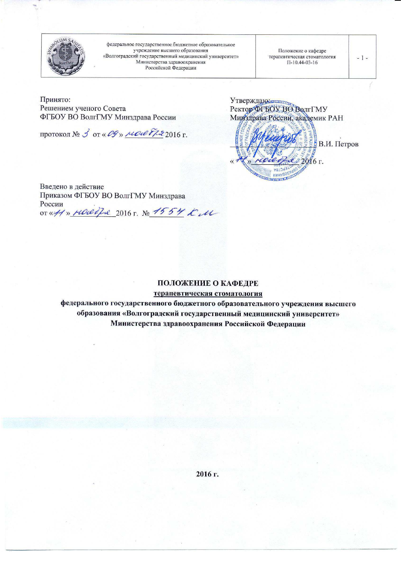

федеральное государственное бюджетное образовательное учреждение высшего образования «Волгоградский государственный медицинский университет» Министерства здравоохранения Российской Федерации

Положение о кафедре терапевтическая стоматология  $\Pi - 10.44 - 03 - 16$ 

 $-1-$ 

Принято: Решением ученого Совета ФГБОУ ВО ВолгГМУ Минздрава России

протокол № 3 от « ОУ» мольд 2016 г.

Минзярава России, академик РАН В.И. Петров 2016 г. **EQUICORNING BAR** 

Введено в действие Приказом ФГБОУ ВО ВолгГМУ Минздрава России or «41» HOLed La 2016 r. No 1554 KM

## ПОЛОЖЕНИЕ О КАФЕДРЕ

терапевтическая стоматология

федерального государственного бюджетного образовательного учреждения высшего образования «Волгоградский государственный медицинский университет» Министерства здравоохранения Российской Федерации

2016 г.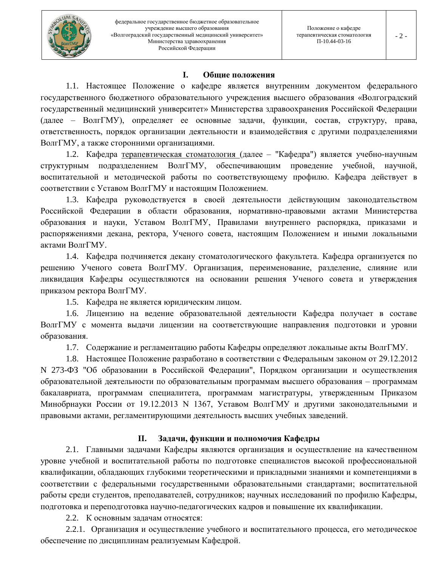#### I. Общие положения

1.1. Настоящее Положение о кафедре является внутренним документом федерального государственного бюджетного образовательного учреждения высшего образования «Волгоградский государственный медицинский университет» Министерства здравоохранения Российской Федерации (далее – ВолгГМУ), определяет ее основные задачи, функции, состав, структуру, права, ответственность, порядок организации деятельности и взаимодействия с другими подразделениями ВолгГМУ, а также сторонними организациями.

1.2. Кафедра терапевтическая стоматология (далее - "Кафедра") является учебно-научным подразделением ВолгГМУ, обеспечивающим проведение учебной, структурным научной, воспитательной и методической работы по соответствующему профилю. Кафедра действует в соответствии с Уставом ВолгГМУ и настоящим Положением.

1.3. Кафедра руководствуется в своей деятельности действующим законодательством Российской Федерации в области образования, нормативно-правовыми актами Министерства образования и науки, Уставом ВолгГМУ, Правилами внутреннего распорядка, приказами и распоряжениями декана, ректора, Ученого совета, настоящим Положением и иными локальными актами ВолгГМУ.

1.4. Кафедра подчиняется декану стоматологического факультета. Кафедра организуется по решению Ученого совета ВолгГМУ. Организация, переименование, разделение, слияние или ликвидация Кафедры осуществляются на основании решения Ученого совета и утверждения приказом ректора ВолгГМУ.

1.5. Кафедра не является юридическим лицом.

1.6. Лицензию на ведение образовательной деятельности Кафедра получает в составе ВолгГМУ с момента выдачи лицензии на соответствующие направления подготовки и уровни образования.

1.7. Содержание и регламентацию работы Кафедры определяют локальные акты ВолгГМУ.

1.8. Настоящее Положение разработано в соответствии с Федеральным законом от 29.12.2012 N 273-ФЗ "Об образовании в Российской Федерации", Порядком организации и осуществления образовательной деятельности по образовательным программам высшего образования - программам бакалавриата, программам специалитета, программам магистратуры, утвержденным Приказом Минобрнауки России от 19.12.2013 N 1367, Уставом ВолгГМУ и другими законодательными и правовыми актами, регламентирующими деятельность высших учебных заведений.

#### П. Задачи, функции и полномочия Кафедры

2.1. Главными задачами Кафедры являются организация и осуществление на качественном уровне учебной и воспитательной работы по подготовке специалистов высокой профессиональной квалификации, обладающих глубокими теоретическими и прикладными знаниями и компетенциями в соответствии с федеральными государственными образовательными стандартами; воспитательной работы среди студентов, преподавателей, сотрудников; научных исследований по профилю Кафедры, подготовка и переподготовка научно-педагогических кадров и повышение их квалификации.

2.2. К основным задачам относятся:

2.2.1. Организация и осуществление учебного и воспитательного процесса, его методическое обеспечение по дисциплинам реализуемым Кафедрой.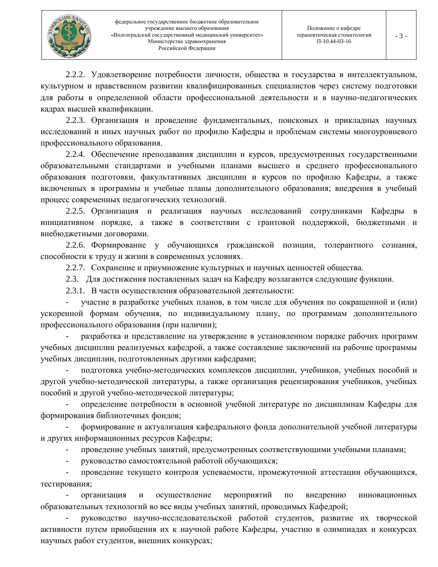

2.2.2. Удовлетворение потребности личности, общества и государства в интеллектуальном, культурном и нравственном развитии квалифицированных специалистов через систему подготовки для работы в определенной области профессиональной деятельности и в научно-педагогических кадрах высшей квалификации.

2.2.3. Организация и проведение фундаментальных, поисковых и прикладных научных исследований и иных научных работ по профилю Кафедры и проблемам системы многоуровневого профессионального образования.

2.2.4. Обеспечение преподавания дисциплин и курсов, предусмотренных государственными образовательными стандартами и учебными планами высшего и среднего профессионального образования подготовки, факультативных дисциплин и курсов по профилю Кафедры, а также включенных в программы и учебные планы дополнительного образования; внедрения в учебный процесс современных педагогических технологий.

2.2.5. Организация и реализация научных исследований сотрудниками Кафедры инициативном порядке, а также в соответствии с грантовой поддержкой, бюджетными и внебюджетными договорами.

2.2.6. Формирование у обучающихся гражданской позиции, толерантного сознания, способности к труду и жизни в современных условиях.

2.2.7. Сохранение и приумножение культурных и научных ценностей общества.

2.3. Для достижения поставленных задач на Кафедру возлагаются следующие функции.

2.3.1. В части осуществления образовательной деятельности:

участие в разработке учебных планов, в том числе для обучения по сокращенной и (или) ускоренной формам обучения, по индивидуальному плану, по программам дополнительного профессионального образования (при наличии);

разработка и представление на утверждение в установленном порядке рабочих программ учебных дисциплин реализуемых кафедрой, а также составление заключений на рабочие программы учебных дисциплин, подготовленных другими кафедрами;

подготовка учебно-методических комплексов дисциплин, учебников, учебных пособий и другой учебно-методической литературы, а также организация рецензирования учебников, учебных пособий и другой учебно-методической литературы;

определение потребности в основной учебной литературе по дисциплинам Кафедры для формирования библиотечных фондов;

формирование и актуализация кафедрального фонда дополнительной учебной литературы и других информационных ресурсов Кафедры;

проведение учебных занятий, предусмотренных соответствующими учебными планами;

руководство самостоятельной работой обучающихся;

проведение текущего контроля успеваемости, промежуточной аттестации обучающихся, тестирования;

организация осуществление мероприятий  $\overline{10}$ внедрению инновационных  $\boldsymbol{\mathrm{M}}$ образовательных технологий во все виды учебных занятий, проводимых Кафедрой;

руководство научно-исследовательской работой студентов, развитие их творческой активности путем приобщения их к научной работе Кафедры, участию в олимпиадах и конкурсах научных работ студентов, внешних конкурсах;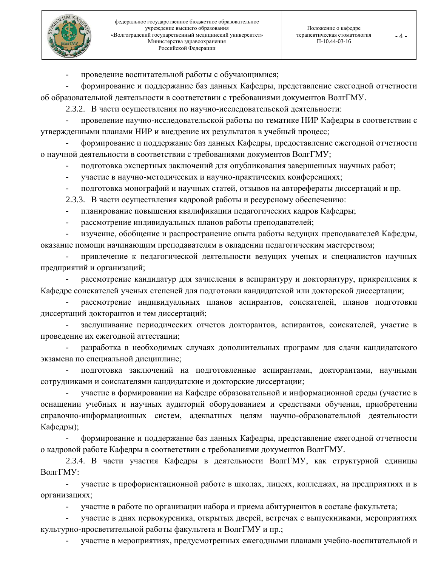

 $-4-$ 

проведение воспитательной работы с обучающимися;

формирование и поддержание баз данных Кафедры, представление ежегодной отчетности об образовательной деятельности в соответствии с требованиями документов ВолгГМУ.

2.3.2. В части осуществления по научно-исследовательской деятельности:

проведение научно-исследовательской работы по тематике НИР Кафедры в соответствии с утвержденными планами НИР и внедрение их результатов в учебный процесс;

формирование и поддержание баз данных Кафедры, предоставление ежегодной отчетности о научной деятельности в соответствии с требованиями документов ВолгГМУ;

подготовка экспертных заключений для опубликования завершенных научных работ;

участие в научно-методических и научно-практических конференциях;  $\overline{\phantom{a}}$ 

подготовка монографий и научных статей, отзывов на авторефераты диссертаций и пр.

2.3.3. В части осуществления кадровой работы и ресурсному обеспечению:

- планирование повышения квалификации педагогических кадров Кафедры;  $\equiv$
- рассмотрение индивидуальных планов работы преподавателей;  $\overline{a}$

изучение, обобщение и распространение опыта работы ведущих преподавателей Кафедры, оказание помощи начинающим преподавателям в овладении педагогическим мастерством;

привлечение к педагогической деятельности ведущих ученых и специалистов научных предприятий и организаций;

рассмотрение кандидатур для зачисления в аспирантуру и докторантуру, прикрепления к Кафедре соискателей ученых степеней для подготовки кандидатской или докторской диссертации;

рассмотрение индивидуальных планов аспирантов, соискателей, планов подготовки диссертаций докторантов и тем диссертаций;

заслушивание периодических отчетов докторантов, аспирантов, соискателей, участие в проведение их ежегодной аттестации;

разработка в необходимых случаях дополнительных программ для сдачи кандидатского экзамена по специальной дисциплине;

подготовка заключений на подготовленные аспирантами, докторантами, научными сотрудниками и соискателями кандидатские и докторские диссертации;

участие в формировании на Кафедре образовательной и информационной среды (участие в оснащении учебных и научных аудиторий оборудованием и средствами обучения, приобретении справочно-информационных систем, адекватных целям научно-образовательной деятельности Кафедры);

формирование и поддержание баз данных Кафедры, представление ежегодной отчетности о кадровой работе Кафедры в соответствии с требованиями документов ВолгГМУ.

2.3.4. В части участия Кафедры в деятельности ВолгГМУ, как структурной единицы ВолгГМУ:

участие в профориентационной работе в школах, лицеях, колледжах, на предприятиях и в организациях;

участие в работе по организации набора и приема абитуриентов в составе факультета;

участие в днях первокурсника, открытых дверей, встречах с выпускниками, мероприятиях культурно-просветительной работы факультета и ВолгГМУ и пр.;

участие в мероприятиях, предусмотренных ежегодными планами учебно-воспитательной и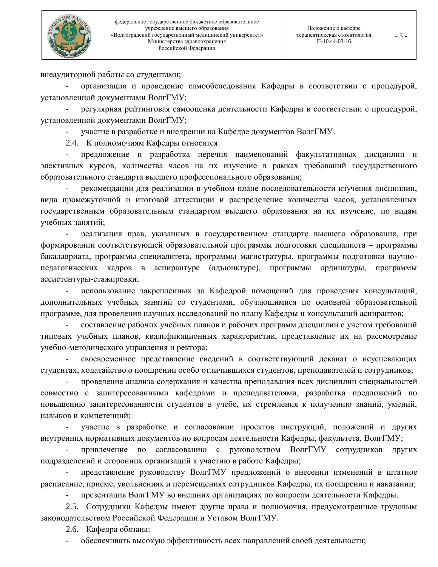

внеаудиторной работы со студентами;

организация и проведение самообследования Кафедры в соответствии с процедурой, установленной документами ВолгГМУ;

регулярная рейтинговая самооценка деятельности Кафедры в соответствии с процедурой, установленной документами ВолгГМУ;

участие в разработке и внедрении на Кафедре документов ВолгГМУ.

2.4. К полномочиям Кафедры относятся:

предложение и разработка перечня наименований факультативных дисциплин и элективных курсов, количества часов на их изучение в рамках требований государственного образовательного стандарта высшего профессионального образования;

рекомендации для реализации в учебном плане последовательности изучения дисциплин, вида промежуточной и итоговой аттестации и распределение количества часов, установленных государственным образовательным стандартом высшего образования на их изучение, по видам учебных занятий;

реализация прав, указанных в государственном стандарте высшего образования, при формировании соответствующей образовательной программы подготовки специалиста – программы бакалавриата, программы специалитета, программы магистратуры, программы подготовки научнопедагогических кадров в аспирантуре (адъюнктуре), программы ординатуры, программы ассистентуры-стажировки;

использование закрепленных за Кафедрой помещений для проведения консультаций, дополнительных учебных занятий со студентами, обучающимися по основной образовательной программе, для проведения научных исследований по плану Кафедры и консультаций аспирантов;

составление рабочих учебных планов и рабочих программ дисциплин с учетом требований типовых учебных планов, квалификационных характеристик, представление их на рассмотрение учебно-методического управления и ректора;

своевременное представление сведений в соответствующий деканат о неуспевающих студентах, ходатайство о поощрении особо отличившихся студентов, преподавателей и сотрудников;

проведение анализа содержания и качества преподавания всех дисциплин специальностей совместно с заинтересованными кафедрами и преподавателями, разработка предложений по повышению заинтересованности студентов в учебе, их стремления к получению знаний, умений, навыков и компетенций;

участие в разработке и согласовании проектов инструкций, положений и других внутренних нормативных документов по вопросам деятельности Кафедры, факультета, ВолгГМУ;

привлечение по согласованию с руководством ВолгГМУ сотрудников других подразделений и сторонних организаций к участию в работе Кафедры;

представление руководству ВолгГМУ предложений о внесении изменений в штатное расписание, приеме, увольнениях и перемещениях сотрудников Кафедры, их поощрении и наказании;

презентация ВолгГМУ во внешних организациях по вопросам деятельности Кафедры.

2.5. Сотрудники Кафедры имеют другие права и полномочия, предусмотренные трудовым законодательством Российской Федерации и Уставом ВолгГМУ.

2.6. Кафедра обязана:

обеспечивать высокую эффективность всех направлений своей деятельности;  $\overline{\phantom{a}}$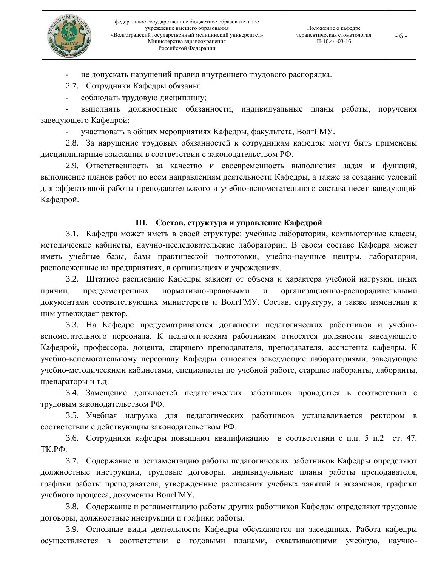

не допускать нарушений правил внутреннего трудового распорядка.

2.7. Сотрудники Кафедры обязаны:

соблюдать трудовую дисциплину;

выполнять должностные обязанности, индивидуальные планы работы, поручения заведующего Кафедрой;

участвовать в общих мероприятиях Кафедры, факультета, ВолгГМУ.

2.8. За нарушение трудовых обязанностей к сотрудникам кафедры могут быть применены дисциплинарные взыскания в соответствии с законодательством РФ.

2.9. Ответственность за качество и своевременность выполнения задач и функций, выполнение планов работ по всем направлениям деятельности Кафедры, а также за создание условий для эффективной работы преподавательского и учебно-вспомогательного состава несет заведующий Кафедрой.

# III. Состав, структура и управление Кафедрой

3.1. Кафедра может иметь в своей структуре: учебные лаборатории, компьютерные классы, методические кабинеты, научно-исследовательские лаборатории. В своем составе Кафедра может иметь учебные базы, базы практической подготовки, учебно-научные центры, лаборатории, расположенные на предприятиях, в организациях и учреждениях.

3.2. Штатное расписание Кафедры зависят от объема и характера учебной нагрузки, иных причин. предусмотренных нормативно-правовыми  $\mathbf{M}$ организационно-распорядительными документами соответствующих министерств и ВолгГМУ. Состав, структуру, а также изменения к ним утверждает ректор.

3.3. На Кафедре предусматриваются должности педагогических работников и учебновспомогательного персонала. К педагогическим работникам относятся должности заведующего Кафедрой, профессора, доцента, старшего преподавателя, преподавателя, ассистента кафедры. К учебно-вспомогательному персоналу Кафедры относятся заведующие лабораториями, заведующие учебно-методическими кабинетами, специалисты по учебной работе, старшие лаборанты, лаборанты, препараторы и т.д.

3.4. Замещение должностей педагогических работников проводится в соответствии с трудовым законодательством РФ.

3.5. Учебная нагрузка для педагогических работников устанавливается ректором в соответствии с действующим законодательством РФ.

3.6. Сотрудники кафедры повышают квалификацию в соответствии с п.п. 5 п.2 ст. 47. ТК.РФ.

3.7. Содержание и регламентацию работы педагогических работников Кафедры определяют должностные инструкции, трудовые договоры, индивидуальные планы работы преподавателя, графики работы преподавателя, утвержденные расписания учебных занятий и экзаменов, графики учебного процесса, документы ВолгГМУ.

3.8. Содержание и регламентацию работы других работников Кафедры определяют трудовые договоры, должностные инструкции и графики работы.

3.9. Основные виды деятельности Кафедры обсуждаются на заседаниях. Работа кафедры осуществляется в соответствии с годовыми планами, охватывающими учебную, научно-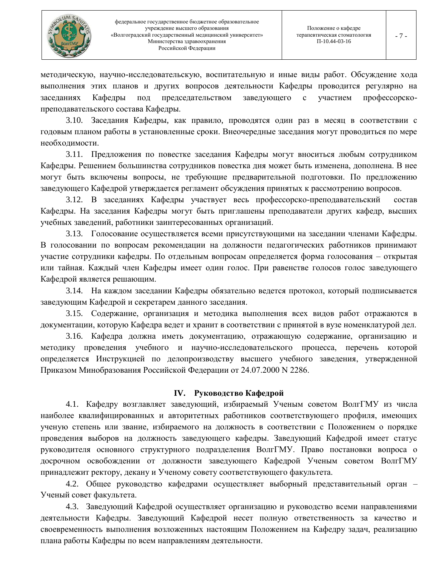

методическую, научно-исследовательскую, воспитательную и иные виды работ. Обсуждение хода выполнения этих планов и других вопросов деятельности Кафедры проводится регулярно на заседаниях Кафедры под председательством заведующего участием профессорско- $\mathbf{c}$ преподавательского состава Кафедры.

3.10. Заседания Кафедры, как правило, проводятся один раз в месяц в соответствии с годовым планом работы в установленные сроки. Внеочередные заседания могут проводиться по мере необходимости.

3.11. Предложения по повестке заседания Кафедры могут вноситься любым сотрудником Кафедры. Решением большинства сотрудников повестка дня может быть изменена, дополнена. В нее могут быть включены вопросы, не требующие предварительной подготовки. По предложению заведующего Кафедрой утверждается регламент обсуждения принятых к рассмотрению вопросов.

3.12. В заседаниях Кафедры участвует весь профессорско-преподавательский состав Кафедры. На заседания Кафедры могут быть приглашены преподаватели других кафедр, высших учебных заведений, работники заинтересованных организаций.

3.13. Голосование осуществляется всеми присутствующими на заседании членами Кафедры. В голосовании по вопросам рекомендации на должности педагогических работников принимают участие сотрудники кафедры. По отдельным вопросам определяется форма голосования – открытая или тайная. Каждый член Кафедры имеет один голос. При равенстве голосов голос заведующего Кафедрой является решающим.

3.14. На каждом заседании Кафедры обязательно ведется протокол, который подписывается заведующим Кафедрой и секретарем данного заседания.

3.15. Содержание, организация и методика выполнения всех видов работ отражаются в документации, которую Кафедра ведет и хранит в соответствии с принятой в вузе номенклатурой дел.

3.16. Кафедра должна иметь документацию, отражающую содержание, организацию и методику проведения учебного и научно-исследовательского процесса, перечень которой определяется Инструкцией по делопроизводству высшего учебного заведения, утвержденной Приказом Минобразования Российской Федерации от 24.07.2000 N 2286.

# **IV.** Руководство Кафедрой

4.1. Кафедру возглавляет заведующий, избираемый Ученым советом ВолгГМУ из числа наиболее квалифицированных и авторитетных работников соответствующего профиля, имеющих ученую степень или звание, избираемого на должность в соответствии с Положением о порядке проведения выборов на должность заведующего кафедры. Заведующий Кафедрой имеет статус руководителя основного структурного подразделения ВолгГМУ. Право постановки вопроса о досрочном освобождении от должности заведующего Кафедрой Ученым советом ВолгГМУ принадлежит ректору, декану и Ученому совету соответствующего факультета.

4.2. Общее руководство кафедрами осуществляет выборный представительный орган -Ученый совет факультета.

4.3. Заведующий Кафедрой осуществляет организацию и руководство всеми направлениями деятельности Кафедры. Заведующий Кафедрой несет полную ответственность за качество и своевременность выполнения возложенных настоящим Положением на Кафедру задач, реализацию плана работы Кафедры по всем направлениям деятельности.